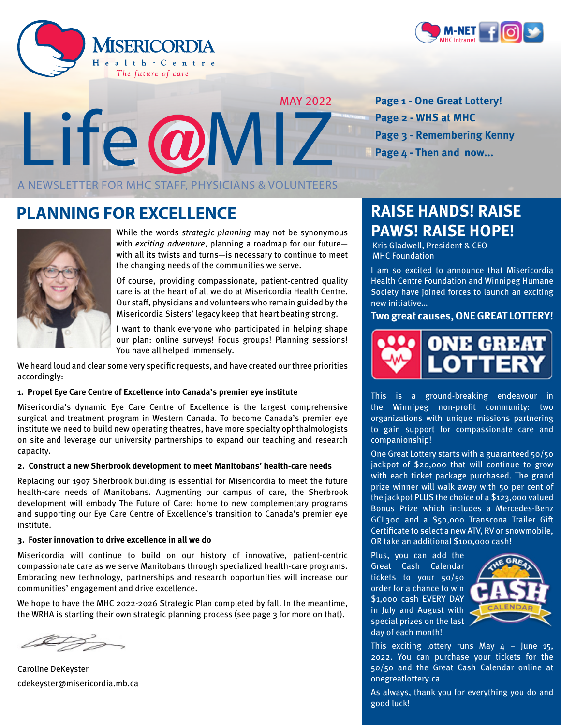



## Life@MI A NEWSLETTER FOR MHC STAFF, PHYSICIANS & VOLUNTEERS MAY 2022 **Page 1 - One Great Lottery! Page 2 - WHS at MHC Page 3 - Remembering Kenny Page 4 - Then and now...**

# **PLANNING FOR EXCELLENCE**



While the words *strategic planning* may not be synonymous with exciting adventure, planning a roadmap for our futurewith all its twists and turns—is necessary to continue to meet the changing needs of the communities we serve.

Of course, providing compassionate, patient-centred quality care is at the heart of all we do at Misericordia Health Centre. Our staff, physicians and volunteers who remain guided by the Misericordia Sisters' legacy keep that heart beating strong.

I want to thank everyone who participated in helping shape our plan: online surveys! Focus groups! Planning sessions! You have all helped immensely.

We heard loud and clear some very specific requests, and have created our three priorities accordingly:

### **1. Propel Eye Care Centre of Excellence into Canada's premier eye institute**

Misericordia's dynamic Eye Care Centre of Excellence is the largest comprehensive surgical and treatment program in Western Canada. To become Canada's premier eye institute we need to build new operating theatres, have more specialty ophthalmologists on site and leverage our university partnerships to expand our teaching and research capacity.

### **2. Construct a new Sherbrook development to meet Manitobans' health-care needs**

Replacing our 1907 Sherbrook building is essential for Misericordia to meet the future health-care needs of Manitobans. Augmenting our campus of care, the Sherbrook development will embody The Future of Care: home to new complementary programs and supporting our Eye Care Centre of Excellence's transition to Canada's premier eye institute.

### **3. Foster innovation to drive excellence in all we do**

Misericordia will continue to build on our history of innovative, patient-centric compassionate care as we serve Manitobans through specialized health-care programs. Embracing new technology, partnerships and research opportunities will increase our communities' engagement and drive excellence.

We hope to have the MHC 2022-2026 Strategic Plan completed by fall. In the meantime, the WRHA is starting their own strategic planning process (see page 3 for more on that).

Caroline DeKeyster cdekeyster@misericordia.mb.ca

**RAISE HANDS! RAISE PAWS! RAISE HOPE!**

Kris Gladwell, President & CEO MHC Foundation

I am so excited to announce that Misericordia Health Centre Foundation and Winnipeg Humane Society have joined forces to launch an exciting new initiative…

### **Two great causes, ONE GREAT LOTTERY!**



This is a ground-breaking endeavour in the Winnipeg non-profit community: two organizations with unique missions partnering to gain support for compassionate care and companionship!

One Great Lottery starts with a guaranteed 50/50 jackpot of \$20,000 that will continue to grow with each ticket package purchased. The grand prize winner will walk away with 50 per cent of the jackpot PLUS the choice of a \$123,000 valued Bonus Prize which includes a Mercedes-Benz GCL300 and a \$50,000 Transcona Trailer Gift Certificate to select a new ATV, RV or snowmobile, OR take an additional \$100,000 cash!

Plus, you can add the Great Cash Calendar tickets to your 50/50 order for a chance to win \$1,000 cash EVERY DAY in July and August with special prizes on the last day of each month!



This exciting lottery runs May  $4 -$  June 15, 2022. You can purchase your tickets for the 50/50 and the Great Cash Calendar online at [onegreatlottery.ca](http://onegreatlottery.ca)

As always, thank you for everything you do and good luck!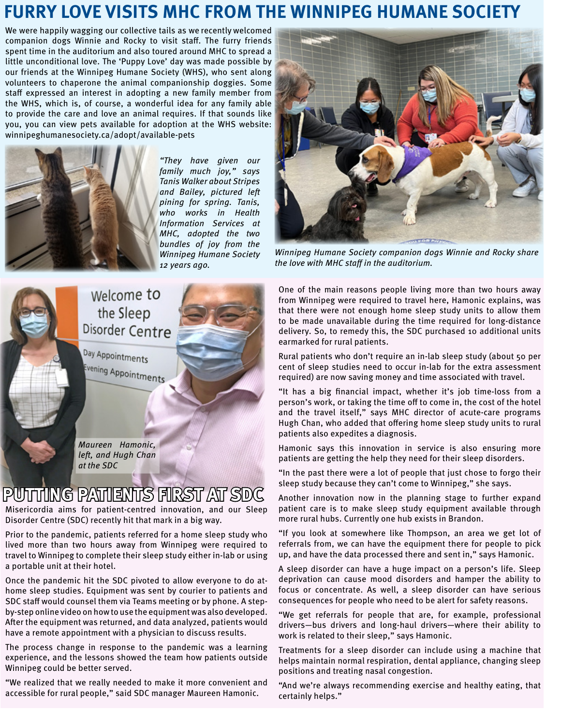# **FURRY LOVE VISITS MHC FROM THE WINNIPEG HUMANE SOCIETY**

We were happily wagging our collective tails as we recently welcomed companion dogs Winnie and Rocky to visit staff. The furry friends spent time in the auditorium and also toured around MHC to spread a little unconditional love. The 'Puppy Love' day was made possible by our friends at the Winnipeg Humane Society (WHS), who sent along volunteers to chaperone the animal companionship doggies. Some staff expressed an interest in adopting a new family member from the WHS, which is, of course, a wonderful idea for any family able to provide the care and love an animal requires. If that sounds like you, you can view pets available for adoption at the WHS website: winnipeghumanesociety.ca/adopt/available-pets



"They have given our family much joy," says Tanis Walker about Stripes and Bailey, pictured left pining for spring. Tanis, who works in Health Information Services at MHC, adopted the two bundles of joy from the Winnipeg Humane Society 12 years ago.



Welcome to the Sleep Disorder Centre

Maureen Hamonic, left, and Hugh Chan at the SDC

# **PUTTING PATIENTS FIRST AT SDC**

Misericordia aims for patient-centred innovation, and our Sleep Disorder Centre (SDC) recently hit that mark in a big way.

Prior to the pandemic, patients referred for a home sleep study who lived more than two hours away from Winnipeg were required to travel to Winnipeg to complete their sleep study either in-lab or using a portable unit at their hotel.

Once the pandemic hit the SDC pivoted to allow everyone to do athome sleep studies. Equipment was sent by courier to patients and SDC staff would counsel them via Teams meeting or by phone. A stepby-step online video on how to use the equipment was also developed. After the equipment was returned, and data analyzed, patients would have a remote appointment with a physician to discuss results.

The process change in response to the pandemic was a learning experience, and the lessons showed the team how patients outside Winnipeg could be better served.

"We realized that we really needed to make it more convenient and accessible for rural people," said SDC manager Maureen Hamonic.



Winnipeg Humane Society companion dogs Winnie and Rocky share the love with MHC staff in the auditorium.

One of the main reasons people living more than two hours away from Winnipeg were required to travel here, Hamonic explains, was that there were not enough home sleep study units to allow them to be made unavailable during the time required for long-distance delivery. So, to remedy this, the SDC purchased 10 additional units earmarked for rural patients.

Rural patients who don't require an in-lab sleep study (about 50 per cent of sleep studies need to occur in-lab for the extra assessment required) are now saving money and time associated with travel.

"It has a big financial impact, whether it's job time-loss from a person's work, or taking the time off to come in, the cost of the hotel and the travel itself," says MHC director of acute-care programs Hugh Chan, who added that offering home sleep study units to rural patients also expedites a diagnosis.

Hamonic says this innovation in service is also ensuring more patients are getting the help they need for their sleep disorders.

"In the past there were a lot of people that just chose to forgo their sleep study because they can't come to Winnipeg," she says.

Another innovation now in the planning stage to further expand patient care is to make sleep study equipment available through more rural hubs. Currently one hub exists in Brandon.

"If you look at somewhere like Thompson, an area we get lot of referrals from, we can have the equipment there for people to pick up, and have the data processed there and sent in," says Hamonic.

A sleep disorder can have a huge impact on a person's life. Sleep deprivation can cause mood disorders and hamper the ability to focus or concentrate. As well, a sleep disorder can have serious consequences for people who need to be alert for safety reasons.

"We get referrals for people that are, for example, professional drivers—bus drivers and long-haul drivers—where their ability to work is related to their sleep," says Hamonic.

Treatments for a sleep disorder can include using a machine that helps maintain normal respiration, dental appliance, changing sleep positions and treating nasal congestion.

"And we're always recommending exercise and healthy eating, that certainly helps."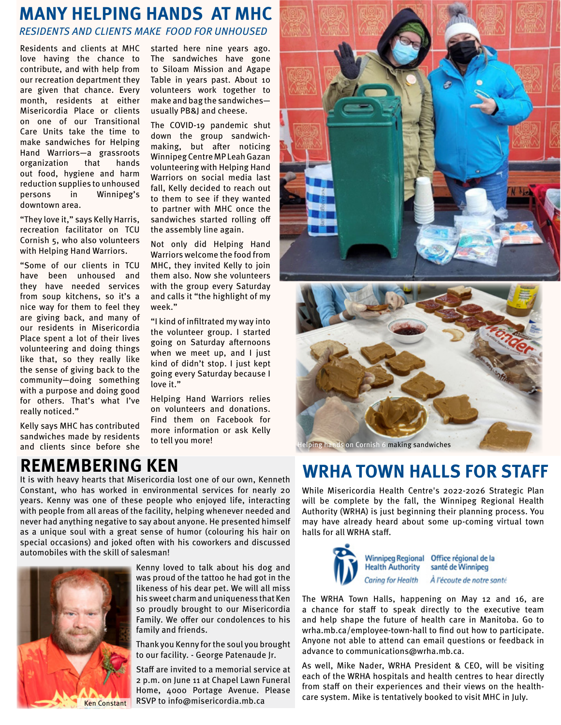## RESIDENTS AND CLIENTS MAKE FOOD FOR UNHOUSED **MANY HELPING HANDS AT MHC**

started here nine years ago. The sandwiches have gone to Siloam Mission and Agape Table in years past. About 10 volunteers work together to make and bag the sandwiches usually PB&J and cheese.

The COVID-19 pandemic shut down the group sandwichmaking, but after noticing Winnipeg Centre MP Leah Gazan volunteering with Helping Hand Warriors on social media last fall, Kelly decided to reach out to them to see if they wanted to partner with MHC once the sandwiches started rolling off the assembly line again.

Not only did Helping Hand Warriors welcome the food from MHC, they invited Kelly to join them also. Now she volunteers with the group every Saturday and calls it "the highlight of my

"I kind of infiltrated my way into the volunteer group. I started going on Saturday afternoons when we meet up, and I just kind of didn't stop. I just kept going every Saturday because I

Helping Hand Warriors relies on volunteers and donations. Find them on Facebook for more information or ask Kelly

Residents and clients at MHC love having the chance to contribute, and with help from our recreation department they are given that chance. Every month, residents at either Misericordia Place or clients on one of our Transitional Care Units take the time to make sandwiches for Helping Hand Warriors—a grassroots organization that hands out food, hygiene and harm reduction supplies to unhoused persons in Winnipeg's downtown area.

"They love it," says Kelly Harris, recreation facilitator on TCU Cornish 5, who also volunteers with Helping Hand Warriors.

"Some of our clients in TCU have been unhoused and they have needed services from soup kitchens, so it's a nice way for them to feel they are giving back, and many of our residents in Misericordia Place spent a lot of their lives volunteering and doing things like that, so they really like the sense of giving back to the community—doing something with a purpose and doing good for others. That's what I've really noticed."

Kelly says MHC has contributed sandwiches made by residents and clients since before she

It is with heavy hearts that Misericordia lost one of our own, Kenneth Constant, who has worked in environmental services for nearly 20 years. Kenny was one of these people who enjoyed life, interacting with people from all areas of the facility, helping whenever needed and never had anything negative to say about anyone. He presented himself as a unique soul with a great sense of humor (colouring his hair on special occasions) and joked often with his coworkers and discussed automobiles with the skill of salesman!

week."

love it."



Kenny loved to talk about his dog and was proud of the tattoo he had got in the likeness of his dear pet. We will all miss his sweet charm and uniqueness that Ken so proudly brought to our Misericordia Family. We offer our condolences to his family and friends.

Thank you Kenny for the soul you brought to our facility. - George Patenaude Jr.

Staff are invited to a memorial service at 2 p.m. on June 11 at Chapel Lawn Funeral Home, 4000 Portage Avenue. Please RSVP t[o info@misericordia.mb.ca](mailto:%20info%40misericordia.mb.ca%20?subject=) 





# **WRHA TOWN HALLS FOR STAFF REMEMBERING KEN**

While Misericordia Health Centre's 2022-2026 Strategic Plan will be complete by the fall, the Winnipeg Regional Health Authority (WRHA) is just beginning their planning process. You may have already heard about some up-coming virtual town halls for all WRHA staff.



The WRHA Town Halls, happening on May 12 and 16, are a chance for staff to speak directly to the executive team and help shape the future of health care in Manitoba. Go to [wrha.mb.ca/employee-town-hall](http://wrha.mb.ca/employee-town-hall) to find out how to participate. Anyone not able to attend can email questions or feedback in advance to [communications@wrha.mb.ca](mailto:communications%40wrha.mb.ca?subject=Town%20Hall%20feedback/question).

As well, Mike Nader, WRHA President & CEO, will be visiting each of the WRHA hospitals and health centres to hear directly from staff on their experiences and their views on the healthcare system. Mike is tentatively booked to visit MHC in July.